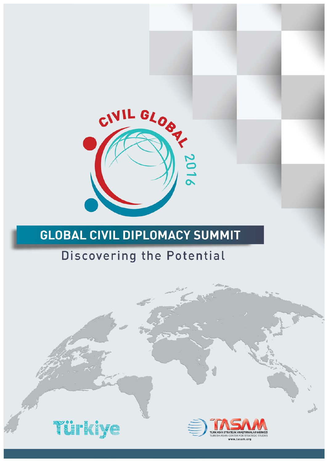

# Discovering the Potential

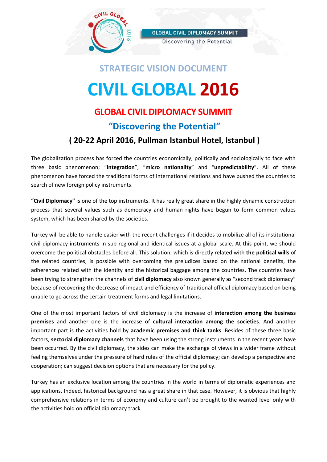

Discovering the Potential

# **STRATEGIC VISION DOCUMENT CIVIL GLOBAL 2016**

# **GLOBAL CIVIL DIPLOMACY SUMMIT "Discovering the Potential" ( 20-22 April 2016, Pullman Istanbul Hotel, Istanbul )**

The globalization process has forced the countries economically, politically and sociologically to face with three basic phenomenon; "**integration**", "**micro nationality**" and "**unpredictability**". All of these phenomenon have forced the traditional forms of international relations and have pushed the countries to search of new foreign policy instruments.

**"Civil Diplomacy"** is one of the top instruments. It has really great share in the highly dynamic construction process that several values such as democracy and human rights have begun to form common values system, which has been shared by the societies.

Turkey will be able to handle easier with the recent challenges if it decides to mobilize all of its institutional civil diplomacy instruments in sub-regional and identical issues at a global scale. At this point, we should overcome the political obstacles before all. This solution, which is directly related with **the political wills** of the related countries, is possible with overcoming the prejudices based on the national benefits, the adherences related with the identity and the historical baggage among the countries. The countries have been trying to strengthen the channels of **civil diplomacy** also known generally as "second track diplomacy" because of recovering the decrease of impact and efficiency of traditional official diplomacy based on being unable to go across the certain treatment forms and legal limitations.

One of the most important factors of civil diplomacy is the increase of **interaction among the business premises** and another one is the increase of **cultural interaction among the societies**. And another important part is the activities hold by **academic premises and think tanks**. Besides of these three basic factors, **sectorial diplomacy channels** that have been using the strong instruments in the recent years have been occurred. By the civil diplomacy, the sides can make the exchange of views in a wider frame without feeling themselves under the pressure of hard rules of the official diplomacy; can develop a perspective and cooperation; can suggest decision options that are necessary for the policy.

Turkey has an exclusive location among the countries in the world in terms of diplomatic experiences and applications. Indeed, historical background has a great share in that case. However, it is obvious that highly comprehensive relations in terms of economy and culture can't be brought to the wanted level only with the activities hold on official diplomacy track.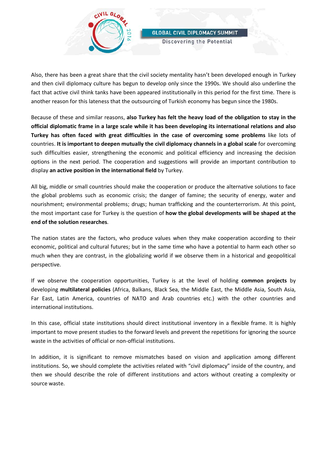

Discovering the Potential

Also, there has been a great share that the civil society mentality hasn't been developed enough in Turkey and then civil diplomacy culture has begun to develop only since the 1990s. We should also underline the fact that active civil think tanks have been appeared institutionally in this period for the first time. There is another reason for this lateness that the outsourcing of Turkish economy has begun since the 1980s.

Because of these and similar reasons, **also Turkey has felt the heavy load of the obligation to stay in the official diplomatic frame in a large scale while it has been developing its international relations and also Turkey has often faced with great difficulties in the case of overcoming some problems** like lots of countries. **It is important to deepen mutually the civil diplomacy channels in a global scale** for overcoming such difficulties easier, strengthening the economic and political efficiency and increasing the decision options in the next period. The cooperation and suggestions will provide an important contribution to display **an active position in the international field** by Turkey.

All big, middle or small countries should make the cooperation or produce the alternative solutions to face the global problems such as economic crisis; the danger of famine; the security of energy, water and nourishment; environmental problems; drugs; human trafficking and the counterterrorism. At this point, the most important case for Turkey is the question of **how the global developments will be shaped at the end of the solution researches**.

The nation states are the factors, who produce values when they make cooperation according to their economic, political and cultural futures; but in the same time who have a potential to harm each other so much when they are contrast, in the globalizing world if we observe them in a historical and geopolitical perspective.

If we observe the cooperation opportunities, Turkey is at the level of holding **common projects** by developing **multilateral policies** (Africa, Balkans, Black Sea, the Middle East, the Middle Asia, South Asia, Far East, Latin America, countries of NATO and Arab countries etc.) with the other countries and international institutions.

In this case, official state institutions should direct institutional inventory in a flexible frame. It is highly important to move present studies to the forward levels and prevent the repetitions for ignoring the source waste in the activities of official or non-official institutions.

In addition, it is significant to remove mismatches based on vision and application among different institutions. So, we should complete the activities related with "civil diplomacy" inside of the country, and then we should describe the role of different institutions and actors without creating a complexity or source waste.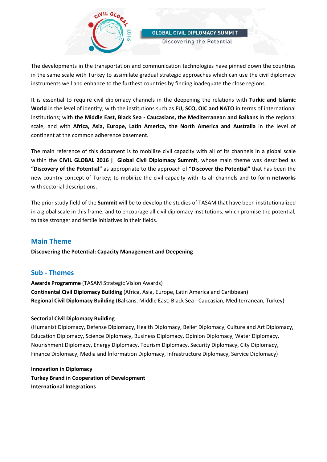

Discovering the Potential

The developments in the transportation and communication technologies have pinned down the countries in the same scale with Turkey to assimilate gradual strategic approaches which can use the civil diplomacy instruments well and enhance to the furthest countries by finding inadequate the close regions.

It is essential to require civil diplomacy channels in the deepening the relations with **Turkic and Islamic World** in the level of identity; with the institutions such as **EU, SCO, OIC and NATO** in terms of international institutions; with **the Middle East, Black Sea - Caucasians, the Mediterranean and Balkans** in the regional scale; and with **Africa, Asia, Europe, Latin America, the North America and Australia** in the level of continent at the common adherence basement.

The main reference of this document is to mobilize civil capacity with all of its channels in a global scale within the **CIVIL GLOBAL 2016 | Global Civil Diplomacy Summit**, whose main theme was described as **"Discovery of the Potential"** as appropriate to the approach of **"Discover the Potential"** that has been the new country concept of Turkey; to mobilize the civil capacity with its all channels and to form **networks** with sectorial descriptions.

The prior study field of the **Summit** will be to develop the studies of TASAM that have been institutionalized in a global scale in this frame; and to encourage all civil diplomacy institutions, which promise the potential, to take stronger and fertile initiatives in their fields.

#### **Main Theme**

**Discovering the Potential: Capacity Management and Deepening**

#### **Sub - Themes**

**Awards Programme** (TASAM Strategic Vision Awards) **Continental Civil Diplomacy Building** (Africa, Asia, Europe, Latin America and Caribbean) **Regional Civil Diplomacy Building** (Balkans, Middle East, Black Sea - Caucasian, Mediterranean, Turkey)

#### **Sectorial Civil Diplomacy Building**

(Humanist Diplomacy, Defense Diplomacy, Health Diplomacy, Belief Diplomacy, Culture and Art Diplomacy, Education Diplomacy, Science Diplomacy, Business Diplomacy, Opinion Diplomacy, Water Diplomacy, Nourishment Diplomacy, Energy Diplomacy, Tourism Diplomacy, Security Diplomacy, City Diplomacy, Finance Diplomacy, Media and İnformation Diplomacy, Infrastructure Diplomacy, Service Diplomacy)

**Innovation in Diplomacy Turkey Brand in Cooperation of Development International Integrations**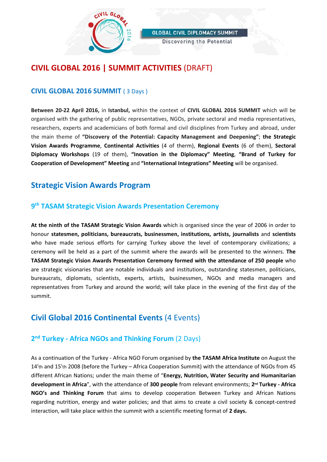

Discovering the Potential

# **CIVIL GLOBAL 2016 | SUMMIT ACTIVITIES** (DRAFT)

#### **CIVIL GLOBAL 2016 SUMMIT** ( 3 Days )

**Between 20-22 April 2016,** in **Istanbul,** within the context of **CIVIL GLOBAL 2016 SUMMIT** which will be organised with the gathering of public representatives, NGOs, private sectoral and media representatives, researchers, experts and academicians of both formal and civil disciplines from Turkey and abroad, under the main theme of **"Discovery of the Potential: Capacity Management and Deepening"**; **the Strategic Vision Awards Programme**, **Continental Activities** (4 of therm), **Regional Events** (6 of them), **Sectoral Diplomacy Workshops** (19 of them), **"Inovation in the Diplomacy" Meeting**, **"Brand of Turkey for Cooperation of Development" Meeting** and **"International Integrations" Meeting** will be organised.

## **Strategic Vision Awards Program**

#### **9th TASAM Strategic Vision Awards Presentation Ceremony**

**At the ninth of the TASAM Strategic Vision Awards** which is organised since the year of 2006 in order to honour **statesmen, politicians, bureaucrats, businessmen, institutions, artists, journalists** and **scientists**  who have made serious efforts for carrying Turkey above the level of contemporary civilizations; a ceremony will be held as a part of the summit where the awards will be presented to the winners. **The TASAM Strategic Vision Awards Presentation Ceremony formed with the attendance of 250 people** who are strategic visionaries that are notable individuals and institutions, outstanding statesmen, politicians, bureaucrats, diplomats, scientists, experts, artists, businessmen, NGOs and media managers and representatives from Turkey and around the world; will take place in the evening of the first day of the summit.

# **Civil Global 2016 Continental Events** (4 Events)

#### **2nd Turkey - Africa NGOs and Thinking Forum** (2 Days)

As a continuation of the Turkey - Africa NGO Forum organised by **the TASAM Africa Institute** on August the 14'th and 15'th 2008 (before the Turkey – Africa Cooperation Summit) with the attendance of NGOs from 45 different African Nations; under the main theme of "**Energy, Nutrition, Water Security and Humanitarian development in Africa**", with the attendance of **300 people** from relevant environments; **2nd Turkey - Africa NGO's and Thinking Forum** that aims to develop cooperation Between Turkey and African Nations regarding nutrition, energy and water policies; and that aims to create a civil society & concept-centred interaction, will take place within the summit with a scientific meeting format of **2 days.**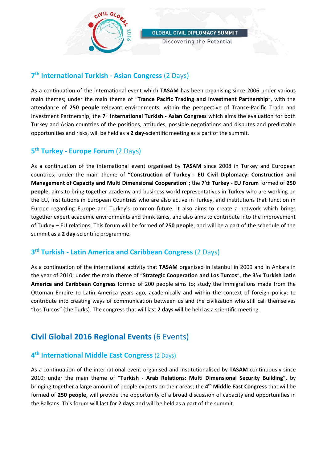

Discovering the Potential

#### **7th International Turkish - Asian Congress** (2 Days)

As a continuation of the international event which **TASAM** has been organising since 2006 under various main themes; under the main theme of "**Trance Pacific Trading and Investment Partnership**", with the attendance of **250 people** relevant environments, within the perspective of Trance-Pacific Trade and Investment Partnership; the **7th International Turkish - Asian Congress** which aims the evaluation for both Turkey and Asian countries of the positions, attitudes, possible negotiations and disputes and predictable opportunities and risks, will be held as a **2 day**-scientific meeting as a part of the summit.

#### **5th Turkey - Europe Forum** (2 Days)

As a continuation of the international event organised by **TASAM** since 2008 in Turkey and European countries; under the main theme of **"Construction of Turkey - EU Civil Diplomacy: Construction and Management of Capacity and Multi Dimensional Cooperation**"; the **7'th Turkey - EU Forum** formed of **250 people**, aims to bring together academy and business world representatives in Turkey who are working on the EU, institutions in European Countries who are also active in Turkey, and institutions that function in Europe regarding Europe and Turkey's common future. It also aims to create a network which brings together expert academic environments and think tanks, and also aims to contribute into the improvement of Turkey – EU relations. This forum will be formed of **250 people**, and will be a part of the schedule of the summit as a **2 day**-scientific programme.

#### **3rd Turkish - Latin America and Caribbean Congress** (2 Days)

As a continuation of the international activity that **TASAM** organised in Istanbul in 2009 and in Ankara in the year of 2010; under the main theme of "**Strategic Cooperation and Los Turcos**", the **3'rd Turkish Latin America and Caribbean Congress** formed of 200 people aims to; study the immigrations made from the Ottoman Empire to Latin America years ago, academically and within the context of foreign policy; to contribute into creating ways of communication between us and the civilization who still call themselves "Los Turcos" (the Turks). The congress that will last **2 days** will be held as a scientific meeting.

# **Civil Global 2016 Regional Events** (6 Events)

#### **4th International Middle East Congress** (2 Days)

As a continuation of the international event organised and institutionalised by **TASAM** continuously since 2010; under the main theme of **"Turkish - Arab Relations: Multi Dimensional Security Building"**, by bringing together a large amount of people experts on their areas; the **4th Middle East Congress** that will be formed of **250 people,** will provide the opportunity of a broad discussion of capacity and opportunities in the Balkans. This forum will last for **2 days** and will be held as a part of the summit.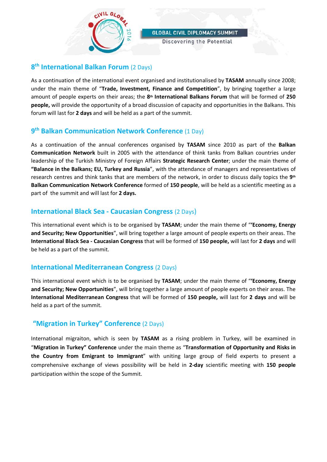

Discovering the Potential

#### **8th International Balkan Forum** (2 Days)

As a continuation of the international event organised and institutionalised by **TASAM** annually since 2008; under the main theme of "**Trade, Investment, Finance and Competition**", by bringing together a large amount of people experts on their areas; the **8th International Balkans Forum** that will be formed of **250 people,** will provide the opportunity of a broad discussion of capacity and opportunities in the Balkans. This forum will last for **2 days** and will be held as a part of the summit.

#### **9th Balkan Communication Network Conference** (1 Day)

As a continuation of the annual conferences organised by **TASAM** since 2010 as part of the **Balkan Communication Network** built in 2005 with the attendance of think tanks from Balkan countries under leadership of the Turkish Ministry of Foreign Affairs **Strategic Research Center**; under the main theme of **"Balance in the Balkans; EU, Turkey and Russia**", with the attendance of managers and representatives of research centres and think tanks that are members of the network, in order to discuss daily topics the **9th Balkan Communication Network Conference** formed of **150 people**, will be held as a scientific meeting as a part of the summit and will last for **2 days.**

#### **International Black Sea - Caucasian Congress** (2 Days)

This international event which is to be organised by **TASAM**; under the main theme of "**'Economy, Energy and Security; New Opportunities**", will bring together a large amount of people experts on their areas. The **International Black Sea - Caucasian Congress** that will be formed of **150 people,** will last for **2 days** and will be held as a part of the summit.

#### **International Mediterranean Congress** (2 Days)

This international event which is to be organised by **TASAM**; under the main theme of "**'Economy, Energy and Security; New Opportunities**", will bring together a large amount of people experts on their areas. The **International Mediterranean Congress** that will be formed of **150 people,** will last for **2 days** and will be held as a part of the summit.

#### **"Migration in Turkey" Conference** (2 Days)

International migraiton, which is seen by **TASAM** as a rising problem in Turkey, will be examined in "**Migration in Turkey" Conference** under the main theme as "**Transformation of Opportunity and Risks in the Country from Emigrant to Immigrant**" with uniting large group of field experts to present a comprehensive exchange of views possibility will be held in **2-day** scientific meeting with **150 people** participation within the scope of the Summit.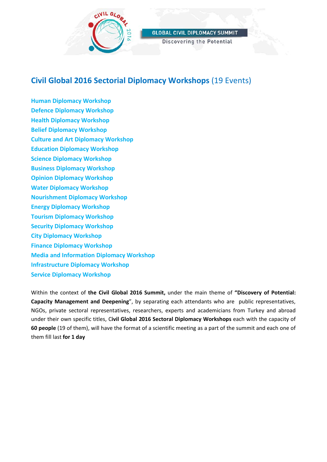

Discovering the Potential

# **Civil Global 2016 Sectorial Diplomacy Workshops** (19 Events)

**Human Diplomacy Workshop Defence Diplomacy Workshop Health Diplomacy Workshop Belief Diplomacy Workshop Culture and Art Diplomacy Workshop Education Diplomacy Workshop Science Diplomacy Workshop Business Diplomacy Workshop Opinion Diplomacy Workshop Water Diplomacy Workshop Nourishment Diplomacy Workshop Energy Diplomacy Workshop Tourism Diplomacy Workshop Security Diplomacy Workshop City Diplomacy Workshop Finance Diplomacy Workshop Media and Information Diplomacy Workshop Infrastructure Diplomacy Workshop Service Diplomacy Workshop**

Within the context of **the Civil Global 2016 Summit,** under the main theme of **"Discovery of Potential: Capacity Management and Deepening**", by separating each attendants who are public representatives, NGOs, private sectoral representatives, researchers, experts and academicians from Turkey and abroad under their own specific titles, C**ivil Global 2016 Sectoral Diplomacy Workshops** each with the capacity of **60 people** (19 of them), will have the format of a scientific meeting as a part of the summit and each one of them fill last **for 1 day**